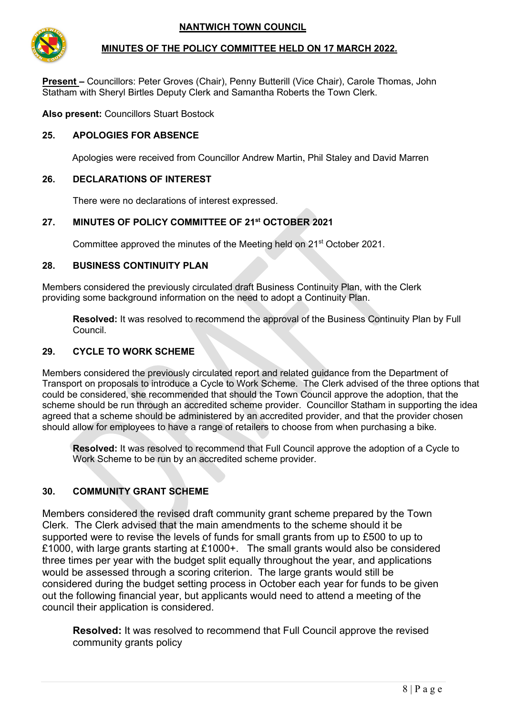

## **MINUTES OF THE POLICY COMMITTEE HELD ON 17 MARCH 2022.**

**Present –** Councillors: Peter Groves (Chair), Penny Butterill (Vice Chair), Carole Thomas, John Statham with Sheryl Birtles Deputy Clerk and Samantha Roberts the Town Clerk.

**Also present:** Councillors Stuart Bostock

## **25. APOLOGIES FOR ABSENCE**

Apologies were received from Councillor Andrew Martin, Phil Staley and David Marren

#### **26. DECLARATIONS OF INTEREST**

There were no declarations of interest expressed.

# **27. MINUTES OF POLICY COMMITTEE OF 21st OCTOBER 2021**

Committee approved the minutes of the Meeting held on 21<sup>st</sup> October 2021.

#### **28. BUSINESS CONTINUITY PLAN**

Members considered the previously circulated draft Business Continuity Plan, with the Clerk providing some background information on the need to adopt a Continuity Plan.

**Resolved:** It was resolved to recommend the approval of the Business Continuity Plan by Full Council.

#### **29. CYCLE TO WORK SCHEME**

Members considered the previously circulated report and related guidance from the Department of Transport on proposals to introduce a Cycle to Work Scheme. The Clerk advised of the three options that could be considered, she recommended that should the Town Council approve the adoption, that the scheme should be run through an accredited scheme provider. Councillor Statham in supporting the idea agreed that a scheme should be administered by an accredited provider, and that the provider chosen should allow for employees to have a range of retailers to choose from when purchasing a bike.

**Resolved:** It was resolved to recommend that Full Council approve the adoption of a Cycle to Work Scheme to be run by an accredited scheme provider.

# **30. COMMUNITY GRANT SCHEME**

Members considered the revised draft community grant scheme prepared by the Town Clerk. The Clerk advised that the main amendments to the scheme should it be supported were to revise the levels of funds for small grants from up to £500 to up to £1000, with large grants starting at £1000+. The small grants would also be considered three times per year with the budget split equally throughout the year, and applications would be assessed through a scoring criterion. The large grants would still be considered during the budget setting process in October each year for funds to be given out the following financial year, but applicants would need to attend a meeting of the council their application is considered.

**Resolved:** It was resolved to recommend that Full Council approve the revised community grants policy